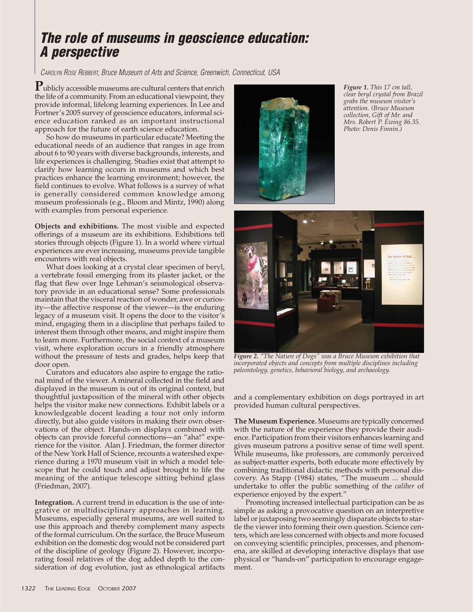## **The role of museums in geoscience education: A perspective**

CAROLYN ROSE REBBERT, Bruce Museum of Arts and Science, Greenwich, Connecticut, USA

Publicly accessible museums are cultural centers that enrich the life of a community. From an educational viewpoint, they provide informal, lifelong learning experiences. In Lee and Fortner's 2005 survey of geoscience educators, informal science education ranked as an important instructional approach for the future of earth science education.

So how do museums in particular educate? Meeting the educational needs of an audience that ranges in age from about 6 to 90 years with diverse backgrounds, interests, and life experiences is challenging. Studies exist that attempt to clarify how learning occurs in museums and which best practices enhance the learning environment; however, the field continues to evolve. What follows is a survey of what is generally considered common knowledge among museum professionals (e.g., Bloom and Mintz, 1990) along with examples from personal experience.

**Objects and exhibitions.** The most visible and expected offerings of a museum are its exhibitions. Exhibitions tell stories through objects (Figure 1). In a world where virtual experiences are ever increasing, museums provide tangible encounters with real objects.

What does looking at a crystal clear specimen of beryl, a vertebrate fossil emerging from its plaster jacket, or the flag that flew over Inge Lehman's seismological observatory provide in an educational sense? Some professionals maintain that the visceral reaction of wonder, awe or curiosity—the affective response of the viewer—is the enduring legacy of a museum visit. It opens the door to the visitor's mind, engaging them in a discipline that perhaps failed to interest them through other means, and might inspire them to learn more. Furthermore, the social context of a museum visit, where exploration occurs in a friendly atmosphere without the pressure of tests and grades, helps keep that door open.

Curators and educators also aspire to engage the rational mind of the viewer. A mineral collected in the field and displayed in the museum is out of its original context, but thoughtful juxtaposition of the mineral with other objects helps the visitor make new connections. Exhibit labels or a knowledgeable docent leading a tour not only inform directly, but also guide visitors in making their own observations of the object. Hands-on displays combined with objects can provide forceful connections—an "aha!" experience for the visitor. Alan J. Friedman, the former director of the New York Hall of Science, recounts a watershed experience during a 1970 museum visit in which a model telescope that he could touch and adjust brought to life the meaning of the antique telescope sitting behind glass (Friedman, 2007).

**Integration.** A current trend in education is the use of integrative or multidisciplinary approaches in learning. Museums, especially general museums, are well suited to use this approach and thereby complement many aspects of the formal curriculum. On the surface, the Bruce Museum exhibition on the domestic dog would not be considered part of the discipline of geology (Figure 2). However, incorporating fossil relatives of the dog added depth to the consideration of dog evolution, just as ethnological artifacts



*Figure 1. This 17 cm tall, clear beryl crystal from Brazil grabs the museum visitor's attention. (Bruce Museum collection, Gift of Mr. and Mrs. Robert P. Ewing 86.35. Photo: Denis Finnin.)*



*Figure 2. "The Nature of Dogs" was a Bruce Museum exhibition that incorporated objects and concepts from multiple disciplines including paleontology, genetics, behavioral biology, and archaeology.*

and a complementary exhibition on dogs portrayed in art provided human cultural perspectives.

**The Museum Experience.** Museums are typically concerned with the nature of the experience they provide their audience. Participation from their visitors enhances learning and gives museum patrons a positive sense of time well spent. While museums, like professors, are commonly perceived as subject-matter experts, both educate more effectively by combining traditional didactic methods with personal discovery. As Stapp (1984) states, "The museum ... should undertake to offer the public something of the *caliber* of experience enjoyed by the expert."

Promoting increased intellectual participation can be as simple as asking a provocative question on an interpretive label or juxtaposing two seemingly disparate objects to startle the viewer into forming their own question. Science centers, which are less concerned with objects and more focused on conveying scientific principles, processes, and phenomena, are skilled at developing interactive displays that use physical or "hands-on" participation to encourage engagement.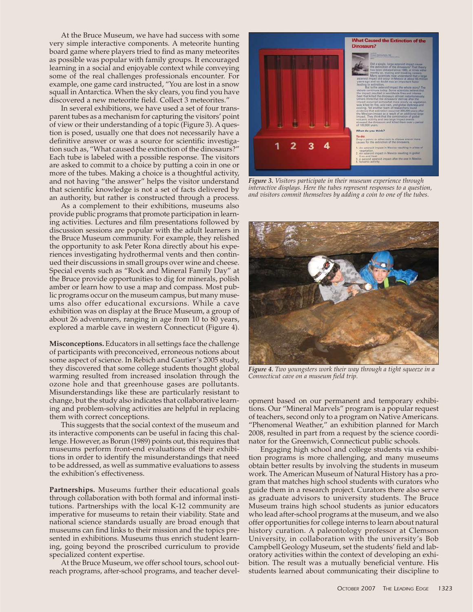At the Bruce Museum, we have had success with some very simple interactive components. A meteorite hunting board game where players tried to find as many meteorites as possible was popular with family groups. It encouraged learning in a social and enjoyable context while conveying some of the real challenges professionals encounter. For example, one game card instructed, "You are lost in a snow squall in Antarctica. When the sky clears, you find you have discovered a new meteorite field. Collect 3 meteorites."

In several exhibitions, we have used a set of four transparent tubes as a mechanism for capturing the visitors' point of view or their understanding of a topic (Figure 3). A question is posed, usually one that does not necessarily have a definitive answer or was a source for scientific investigation such as, "What caused the extinction of the dinosaurs?" Each tube is labeled with a possible response. The visitors are asked to commit to a choice by putting a coin in one or more of the tubes. Making a choice is a thoughtful activity, and not having "the answer" helps the visitor understand that scientific knowledge is not a set of facts delivered by an authority, but rather is constructed through a process.

As a complement to their exhibitions, museums also provide public programs that promote participation in learning activities. Lectures and film presentations followed by discussion sessions are popular with the adult learners in the Bruce Museum community. For example, they relished the opportunity to ask Peter Rona directly about his experiences investigating hydrothermal vents and then continued their discussions in small groups over wine and cheese. Special events such as "Rock and Mineral Family Day" at the Bruce provide opportunities to dig for minerals, polish amber or learn how to use a map and compass. Most public programs occur on the museum campus, but many museums also offer educational excursions. While a cave exhibition was on display at the Bruce Museum, a group of about 26 adventurers, ranging in age from 10 to 80 years, explored a marble cave in western Connecticut (Figure 4).

**Misconceptions.** Educators in all settings face the challenge of participants with preconceived, erroneous notions about some aspect of science. In Rebich and Gautier's 2005 study, they discovered that some college students thought global warming resulted from increased insolation through the ozone hole and that greenhouse gases are pollutants. Misunderstandings like these are particularly resistant to change, but the study also indicates that collaborative learning and problem-solving activities are helpful in replacing them with correct conceptions.

This suggests that the social context of the museum and its interactive components can be useful in facing this challenge. However, as Borun (1989) points out, this requires that museums perform front-end evaluations of their exhibitions in order to identify the misunderstandings that need to be addressed, as well as summative evaluations to assess the exhibition's effectiveness.

**Partnerships.** Museums further their educational goals through collaboration with both formal and informal institutions. Partnerships with the local K-12 community are imperative for museums to retain their viability. State and national science standards usually are broad enough that museums can find links to their mission and the topics presented in exhibitions. Museums thus enrich student learning, going beyond the proscribed curriculum to provide specialized content expertise.

At the Bruce Museum, we offer school tours, school outreach programs, after-school programs, and teacher devel-



*Figure 3. Visitors participate in their museum experience through interactive displays. Here the tubes represent responses to a question, and visitors commit themselves by adding a coin to one of the tubes.*



*Figure 4. Two youngsters work their way through a tight squeeze in a Connecticut cave on a museum field trip.*

opment based on our permanent and temporary exhibitions. Our "Mineral Marvels" program is a popular request of teachers, second only to a program on Native Americans. "Phenomenal Weather," an exhibition planned for March 2008, resulted in part from a request by the science coordinator for the Greenwich, Connecticut public schools.

Engaging high school and college students via exhibition programs is more challenging, and many museums obtain better results by involving the students in museum work. The American Museum of Natural History has a program that matches high school students with curators who guide them in a research project. Curators there also serve as graduate advisors to university students. The Bruce Museum trains high school students as junior educators who lead after-school programs at the museum, and we also offer opportunities for college interns to learn about natural history curation. A paleontology professor at Clemson University, in collaboration with the university's Bob Campbell Geology Museum, set the students' field and laboratory activities within the context of developing an exhibition. The result was a mutually beneficial venture. His students learned about communicating their discipline to